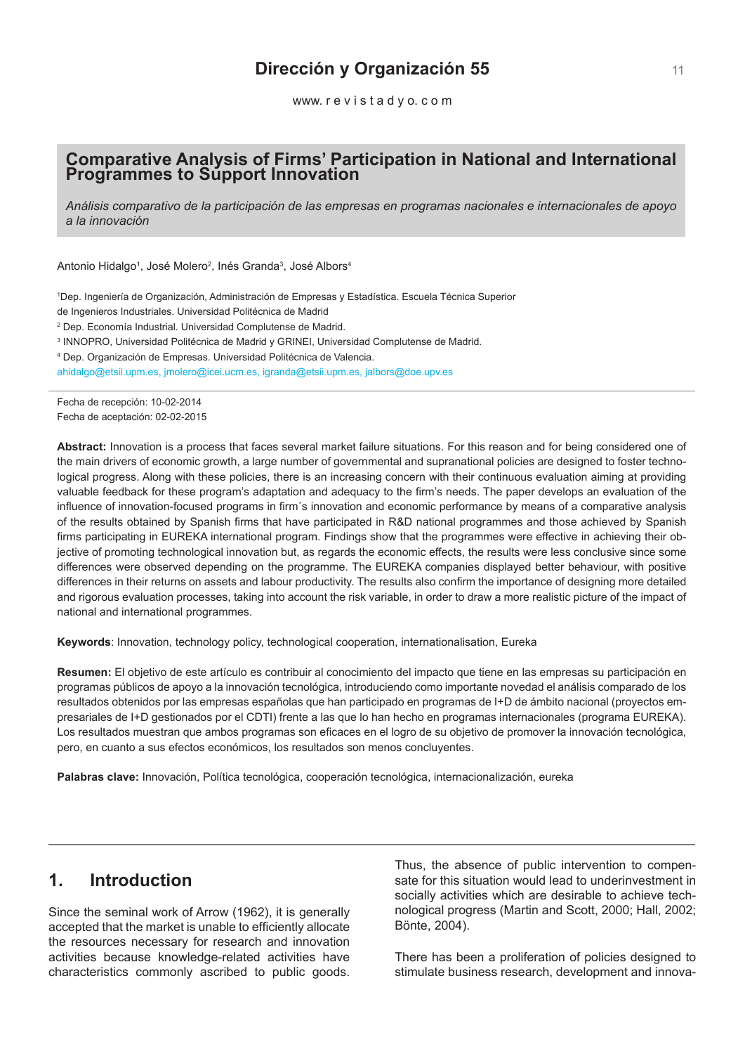# **Dirección y Organización 55**

www. r e v i s t a d y o. c o m

# **Comparative Analysis of Firms' Participation in National and International Programmes to Support Innovation**

*Análisis comparativo de la participación de las empresas en programas nacionales e internacionales de apoyo a la innovación*

Antonio Hidalgo<sup>1</sup>, José Molero<sup>2</sup>, Inés Granda<sup>3</sup>, José Albors<sup>4</sup>

1 Dep. Ingeniería de Organización, Administración de Empresas y Estadística. Escuela Técnica Superior

de Ingenieros Industriales. Universidad Politécnica de Madrid

2 Dep. Economía Industrial. Universidad Complutense de Madrid.

3 INNOPRO, Universidad Politécnica de Madrid y GRINEI, Universidad Complutense de Madrid.

4 Dep. Organización de Empresas. Universidad Politécnica de Valencia.

ahidalgo@etsii.upm.es, jmolero@icei.ucm.es, igranda@etsii.upm.es, jalbors@doe.upv.es

Fecha de recepción: 10-02-2014 Fecha de aceptación: 02-02-2015

**Abstract:** Innovation is a process that faces several market failure situations. For this reason and for being considered one of the main drivers of economic growth, a large number of governmental and supranational policies are designed to foster technological progress. Along with these policies, there is an increasing concern with their continuous evaluation aiming at providing valuable feedback for these program's adaptation and adequacy to the firm's needs. The paper develops an evaluation of the influence of innovation-focused programs in firm´s innovation and economic performance by means of a comparative analysis of the results obtained by Spanish firms that have participated in R&D national programmes and those achieved by Spanish firms participating in EUREKA international program. Findings show that the programmes were effective in achieving their objective of promoting technological innovation but, as regards the economic effects, the results were less conclusive since some differences were observed depending on the programme. The EUREKA companies displayed better behaviour, with positive differences in their returns on assets and labour productivity. The results also confirm the importance of designing more detailed and rigorous evaluation processes, taking into account the risk variable, in order to draw a more realistic picture of the impact of national and international programmes.

**Keywords**: Innovation, technology policy, technological cooperation, internationalisation, Eureka

**Resumen:** El objetivo de este artículo es contribuir al conocimiento del impacto que tiene en las empresas su participación en programas públicos de apoyo a la innovación tecnológica, introduciendo como importante novedad el análisis comparado de los resultados obtenidos por las empresas españolas que han participado en programas de I+D de ámbito nacional (proyectos empresariales de I+D gestionados por el CDTI) frente a las que lo han hecho en programas internacionales (programa EUREKA). Los resultados muestran que ambos programas son eficaces en el logro de su objetivo de promover la innovación tecnológica, pero, en cuanto a sus efectos económicos, los resultados son menos concluyentes.

**Palabras clave:** Innovación, Política tecnológica, cooperación tecnológica, internacionalización, eureka

# **1. Introduction**

Since the seminal work of Arrow (1962), it is generally accepted that the market is unable to efficiently allocate the resources necessary for research and innovation activities because knowledge-related activities have characteristics commonly ascribed to public goods.

Thus, the absence of public intervention to compensate for this situation would lead to underinvestment in socially activities which are desirable to achieve technological progress (Martin and Scott, 2000; Hall, 2002; Bönte, 2004).

There has been a proliferation of policies designed to stimulate business research, development and innova-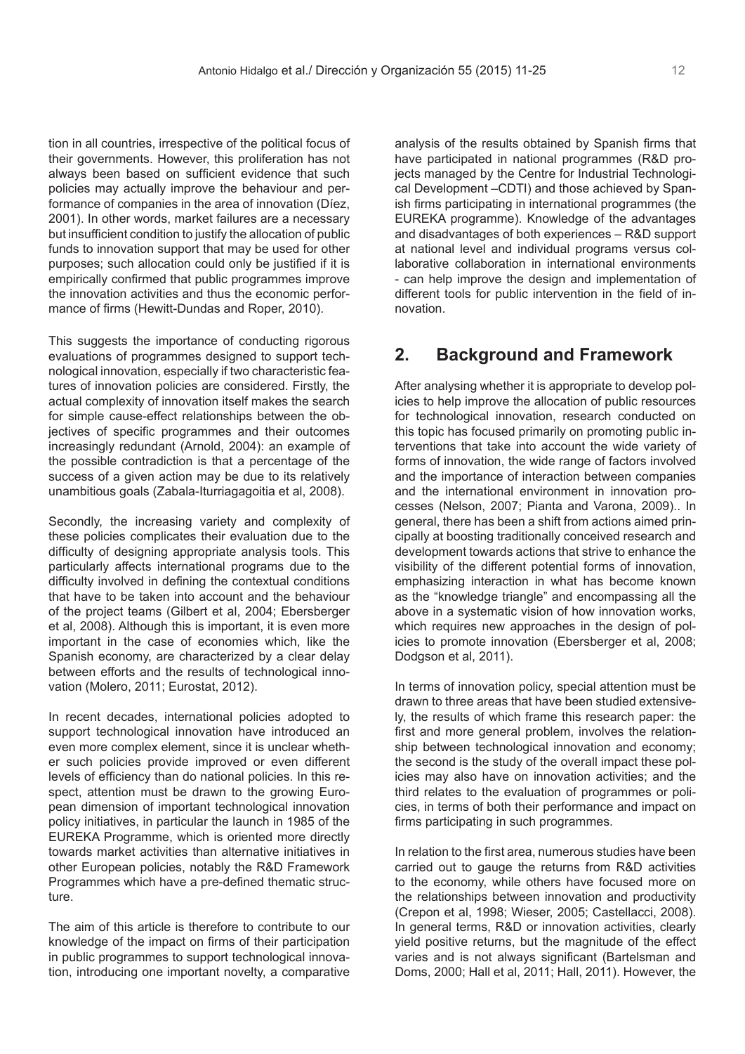tion in all countries, irrespective of the political focus of their governments. However, this proliferation has not always been based on sufficient evidence that such policies may actually improve the behaviour and performance of companies in the area of innovation (Díez, 2001). In other words, market failures are a necessary but insufficient condition to justify the allocation of public funds to innovation support that may be used for other purposes; such allocation could only be justified if it is empirically confirmed that public programmes improve the innovation activities and thus the economic performance of firms (Hewitt-Dundas and Roper, 2010).

This suggests the importance of conducting rigorous evaluations of programmes designed to support technological innovation, especially if two characteristic features of innovation policies are considered. Firstly, the actual complexity of innovation itself makes the search for simple cause-effect relationships between the objectives of specific programmes and their outcomes increasingly redundant (Arnold, 2004): an example of the possible contradiction is that a percentage of the success of a given action may be due to its relatively unambitious goals (Zabala-Iturriagagoitia et al, 2008).

Secondly, the increasing variety and complexity of these policies complicates their evaluation due to the difficulty of designing appropriate analysis tools. This particularly affects international programs due to the difficulty involved in defining the contextual conditions that have to be taken into account and the behaviour of the project teams (Gilbert et al, 2004; Ebersberger et al, 2008). Although this is important, it is even more important in the case of economies which, like the Spanish economy, are characterized by a clear delay between efforts and the results of technological innovation (Molero, 2011; Eurostat, 2012).

In recent decades, international policies adopted to support technological innovation have introduced an even more complex element, since it is unclear whether such policies provide improved or even different levels of efficiency than do national policies. In this respect, attention must be drawn to the growing European dimension of important technological innovation policy initiatives, in particular the launch in 1985 of the EUREKA Programme, which is oriented more directly towards market activities than alternative initiatives in other European policies, notably the R&D Framework Programmes which have a pre-defined thematic structure.

The aim of this article is therefore to contribute to our knowledge of the impact on firms of their participation in public programmes to support technological innovation, introducing one important novelty, a comparative

analysis of the results obtained by Spanish firms that have participated in national programmes (R&D projects managed by the Centre for Industrial Technological Development –CDTI) and those achieved by Spanish firms participating in international programmes (the EUREKA programme). Knowledge of the advantages and disadvantages of both experiences – R&D support at national level and individual programs versus collaborative collaboration in international environments - can help improve the design and implementation of different tools for public intervention in the field of innovation.

# **2. Background and Framework**

After analysing whether it is appropriate to develop policies to help improve the allocation of public resources for technological innovation, research conducted on this topic has focused primarily on promoting public interventions that take into account the wide variety of forms of innovation, the wide range of factors involved and the importance of interaction between companies and the international environment in innovation processes (Nelson, 2007; Pianta and Varona, 2009).. In general, there has been a shift from actions aimed principally at boosting traditionally conceived research and development towards actions that strive to enhance the visibility of the different potential forms of innovation, emphasizing interaction in what has become known as the "knowledge triangle" and encompassing all the above in a systematic vision of how innovation works, which requires new approaches in the design of policies to promote innovation (Ebersberger et al, 2008; Dodgson et al, 2011).

In terms of innovation policy, special attention must be drawn to three areas that have been studied extensively, the results of which frame this research paper: the first and more general problem, involves the relationship between technological innovation and economy; the second is the study of the overall impact these policies may also have on innovation activities; and the third relates to the evaluation of programmes or policies, in terms of both their performance and impact on firms participating in such programmes.

In relation to the first area, numerous studies have been carried out to gauge the returns from R&D activities to the economy, while others have focused more on the relationships between innovation and productivity (Crepon et al, 1998; Wieser, 2005; Castellacci, 2008). In general terms, R&D or innovation activities, clearly yield positive returns, but the magnitude of the effect varies and is not always significant (Bartelsman and Doms, 2000; Hall et al, 2011; Hall, 2011). However, the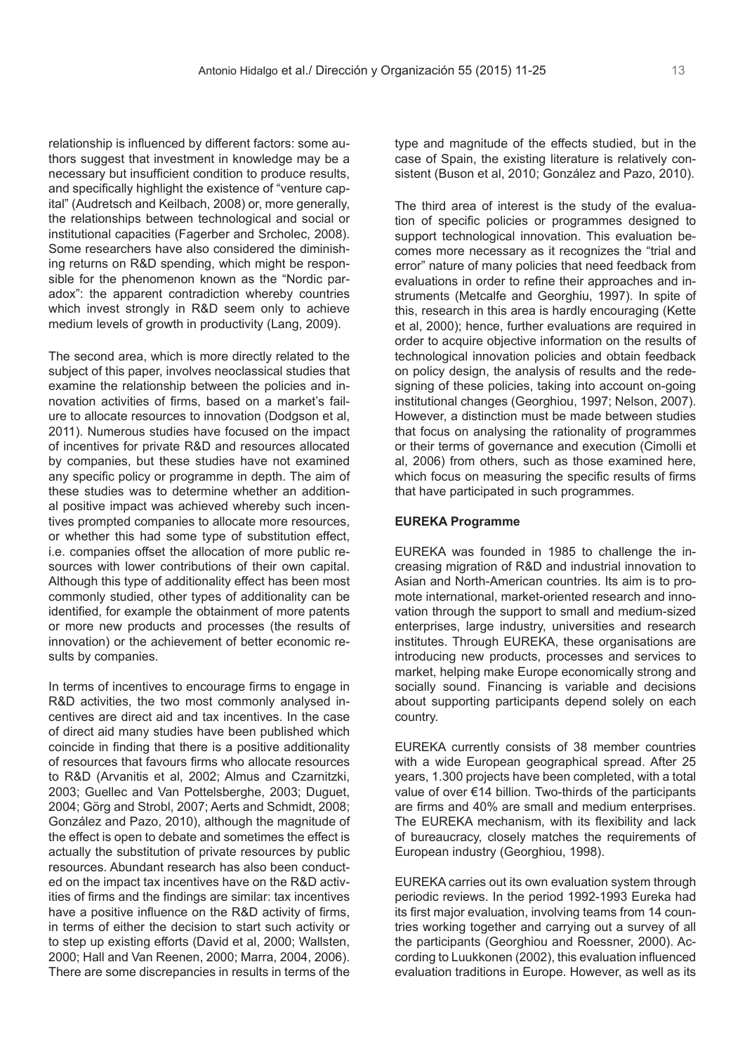relationship is influenced by different factors: some authors suggest that investment in knowledge may be a necessary but insufficient condition to produce results, and specifically highlight the existence of "venture capital" (Audretsch and Keilbach, 2008) or, more generally, the relationships between technological and social or institutional capacities (Fagerber and Srcholec, 2008). Some researchers have also considered the diminishing returns on R&D spending, which might be responsible for the phenomenon known as the "Nordic paradox": the apparent contradiction whereby countries which invest strongly in R&D seem only to achieve medium levels of growth in productivity (Lang, 2009).

The second area, which is more directly related to the subject of this paper, involves neoclassical studies that examine the relationship between the policies and innovation activities of firms, based on a market's failure to allocate resources to innovation (Dodgson et al, 2011). Numerous studies have focused on the impact of incentives for private R&D and resources allocated by companies, but these studies have not examined any specific policy or programme in depth. The aim of these studies was to determine whether an additional positive impact was achieved whereby such incentives prompted companies to allocate more resources, or whether this had some type of substitution effect, i.e. companies offset the allocation of more public resources with lower contributions of their own capital. Although this type of additionality effect has been most commonly studied, other types of additionality can be identified, for example the obtainment of more patents or more new products and processes (the results of innovation) or the achievement of better economic results by companies.

In terms of incentives to encourage firms to engage in R&D activities, the two most commonly analysed incentives are direct aid and tax incentives. In the case of direct aid many studies have been published which coincide in finding that there is a positive additionality of resources that favours firms who allocate resources to R&D (Arvanitis et al, 2002; Almus and Czarnitzki, 2003; Guellec and Van Pottelsberghe, 2003; Duguet, 2004; Görg and Strobl, 2007; Aerts and Schmidt, 2008; González and Pazo, 2010), although the magnitude of the effect is open to debate and sometimes the effect is actually the substitution of private resources by public resources. Abundant research has also been conducted on the impact tax incentives have on the R&D activities of firms and the findings are similar: tax incentives have a positive influence on the R&D activity of firms, in terms of either the decision to start such activity or to step up existing efforts (David et al, 2000; Wallsten, 2000; Hall and Van Reenen, 2000; Marra, 2004, 2006). There are some discrepancies in results in terms of the

type and magnitude of the effects studied, but in the case of Spain, the existing literature is relatively consistent (Buson et al, 2010; González and Pazo, 2010).

The third area of interest is the study of the evaluation of specific policies or programmes designed to support technological innovation. This evaluation becomes more necessary as it recognizes the "trial and error" nature of many policies that need feedback from evaluations in order to refine their approaches and instruments (Metcalfe and Georghiu, 1997). In spite of this, research in this area is hardly encouraging (Kette et al, 2000); hence, further evaluations are required in order to acquire objective information on the results of technological innovation policies and obtain feedback on policy design, the analysis of results and the redesigning of these policies, taking into account on-going institutional changes (Georghiou, 1997; Nelson, 2007). However, a distinction must be made between studies that focus on analysing the rationality of programmes or their terms of governance and execution (Cimolli et al, 2006) from others, such as those examined here, which focus on measuring the specific results of firms that have participated in such programmes.

### **EUREKA Programme**

EUREKA was founded in 1985 to challenge the increasing migration of R&D and industrial innovation to Asian and North-American countries. Its aim is to promote international, market-oriented research and innovation through the support to small and medium-sized enterprises, large industry, universities and research institutes. Through EUREKA, these organisations are introducing new products, processes and services to market, helping make Europe economically strong and socially sound. Financing is variable and decisions about supporting participants depend solely on each country.

EUREKA currently consists of 38 member countries with a wide European geographical spread. After 25 years, 1.300 projects have been completed, with a total value of over €14 billion. Two-thirds of the participants are firms and 40% are small and medium enterprises. The EUREKA mechanism, with its flexibility and lack of bureaucracy, closely matches the requirements of European industry (Georghiou, 1998).

EUREKA carries out its own evaluation system through periodic reviews. In the period 1992-1993 Eureka had its first major evaluation, involving teams from 14 countries working together and carrying out a survey of all the participants (Georghiou and Roessner, 2000). According to Luukkonen (2002), this evaluation influenced evaluation traditions in Europe. However, as well as its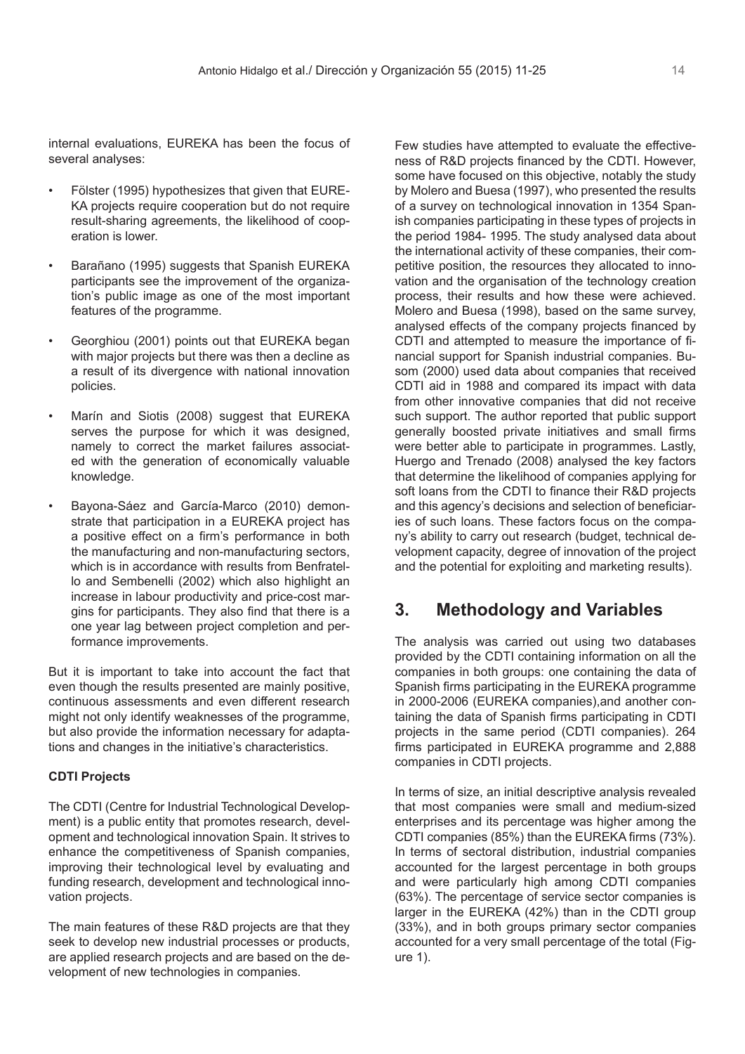internal evaluations, EUREKA has been the focus of several analyses:

- Fölster (1995) hypothesizes that given that EURE-KA projects require cooperation but do not require result-sharing agreements, the likelihood of cooperation is lower.
- Barañano (1995) suggests that Spanish EUREKA participants see the improvement of the organization's public image as one of the most important features of the programme.
- Georghiou (2001) points out that EUREKA began with major projects but there was then a decline as a result of its divergence with national innovation policies.
- Marín and Siotis (2008) suggest that EUREKA serves the purpose for which it was designed, namely to correct the market failures associated with the generation of economically valuable knowledge.
- Bayona-Sáez and García-Marco (2010) demonstrate that participation in a EUREKA project has a positive effect on a firm's performance in both the manufacturing and non-manufacturing sectors, which is in accordance with results from Benfratello and Sembenelli (2002) which also highlight an increase in labour productivity and price-cost margins for participants. They also find that there is a one year lag between project completion and performance improvements.

But it is important to take into account the fact that even though the results presented are mainly positive, continuous assessments and even different research might not only identify weaknesses of the programme, but also provide the information necessary for adaptations and changes in the initiative's characteristics.

### **CDTI Projects**

The CDTI (Centre for Industrial Technological Development) is a public entity that promotes research, development and technological innovation Spain. It strives to enhance the competitiveness of Spanish companies, improving their technological level by evaluating and funding research, development and technological innovation projects.

The main features of these R&D projects are that they seek to develop new industrial processes or products, are applied research projects and are based on the development of new technologies in companies.

Few studies have attempted to evaluate the effectiveness of R&D projects financed by the CDTI. However, some have focused on this objective, notably the study by Molero and Buesa (1997), who presented the results of a survey on technological innovation in 1354 Spanish companies participating in these types of projects in the period 1984- 1995. The study analysed data about the international activity of these companies, their competitive position, the resources they allocated to innovation and the organisation of the technology creation process, their results and how these were achieved. Molero and Buesa (1998), based on the same survey, analysed effects of the company projects financed by CDTI and attempted to measure the importance of financial support for Spanish industrial companies. Busom (2000) used data about companies that received CDTI aid in 1988 and compared its impact with data from other innovative companies that did not receive such support. The author reported that public support generally boosted private initiatives and small firms were better able to participate in programmes. Lastly, Huergo and Trenado (2008) analysed the key factors that determine the likelihood of companies applying for soft loans from the CDTI to finance their R&D projects and this agency's decisions and selection of beneficiaries of such loans. These factors focus on the company's ability to carry out research (budget, technical development capacity, degree of innovation of the project and the potential for exploiting and marketing results).

# **3. Methodology and Variables**

The analysis was carried out using two databases provided by the CDTI containing information on all the companies in both groups: one containing the data of Spanish firms participating in the EUREKA programme in 2000-2006 (EUREKA companies),and another containing the data of Spanish firms participating in CDTI projects in the same period (CDTI companies). 264 firms participated in EUREKA programme and 2,888 companies in CDTI projects.

In terms of size, an initial descriptive analysis revealed that most companies were small and medium-sized enterprises and its percentage was higher among the CDTI companies (85%) than the EUREKA firms (73%). In terms of sectoral distribution, industrial companies accounted for the largest percentage in both groups and were particularly high among CDTI companies (63%). The percentage of service sector companies is larger in the EUREKA (42%) than in the CDTI group (33%), and in both groups primary sector companies accounted for a very small percentage of the total (Figure 1).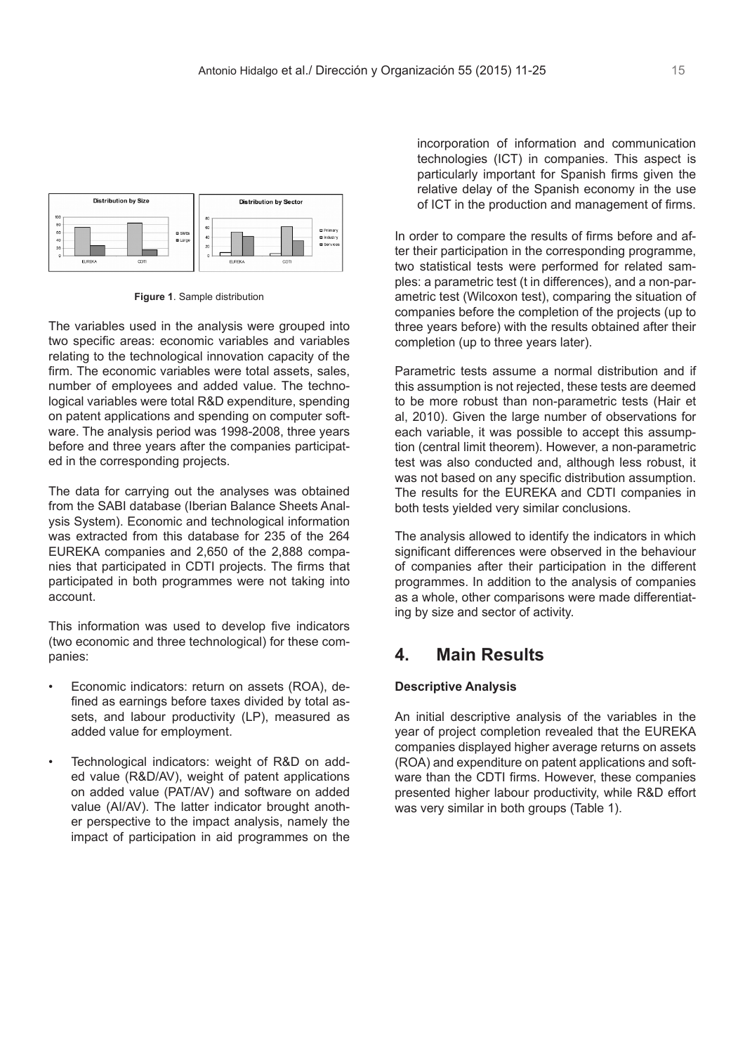

**Figure 1**. Sample distribution

The variables used in the analysis were grouped into two specific areas: economic variables and variables relating to the technological innovation capacity of the firm. The economic variables were total assets, sales, number of employees and added value. The technological variables were total R&D expenditure, spending on patent applications and spending on computer software. The analysis period was 1998-2008, three years before and three years after the companies participated in the corresponding projects.

The data for carrying out the analyses was obtained from the SABI database (Iberian Balance Sheets Analysis System). Economic and technological information was extracted from this database for 235 of the 264 EUREKA companies and 2,650 of the 2,888 companies that participated in CDTI projects. The firms that participated in both programmes were not taking into account.

This information was used to develop five indicators (two economic and three technological) for these companies:

- Economic indicators: return on assets (ROA), defined as earnings before taxes divided by total assets, and labour productivity (LP), measured as added value for employment.
- Technological indicators: weight of R&D on added value (R&D/AV), weight of patent applications on added value (PAT/AV) and software on added value (AI/AV). The latter indicator brought another perspective to the impact analysis, namely the impact of participation in aid programmes on the

incorporation of information and communication technologies (ICT) in companies. This aspect is particularly important for Spanish firms given the relative delay of the Spanish economy in the use of ICT in the production and management of firms.

In order to compare the results of firms before and after their participation in the corresponding programme, two statistical tests were performed for related samples: a parametric test (t in differences), and a non-parametric test (Wilcoxon test), comparing the situation of companies before the completion of the projects (up to three years before) with the results obtained after their completion (up to three years later).

Parametric tests assume a normal distribution and if this assumption is not rejected, these tests are deemed to be more robust than non-parametric tests (Hair et al, 2010). Given the large number of observations for each variable, it was possible to accept this assumption (central limit theorem). However, a non-parametric test was also conducted and, although less robust, it was not based on any specific distribution assumption. The results for the EUREKA and CDTI companies in both tests yielded very similar conclusions.

The analysis allowed to identify the indicators in which significant differences were observed in the behaviour of companies after their participation in the different programmes. In addition to the analysis of companies as a whole, other comparisons were made differentiating by size and sector of activity.

## **4. Main Results**

### **Descriptive Analysis**

An initial descriptive analysis of the variables in the year of project completion revealed that the EUREKA companies displayed higher average returns on assets (ROA) and expenditure on patent applications and software than the CDTI firms. However, these companies presented higher labour productivity, while R&D effort was very similar in both groups (Table 1).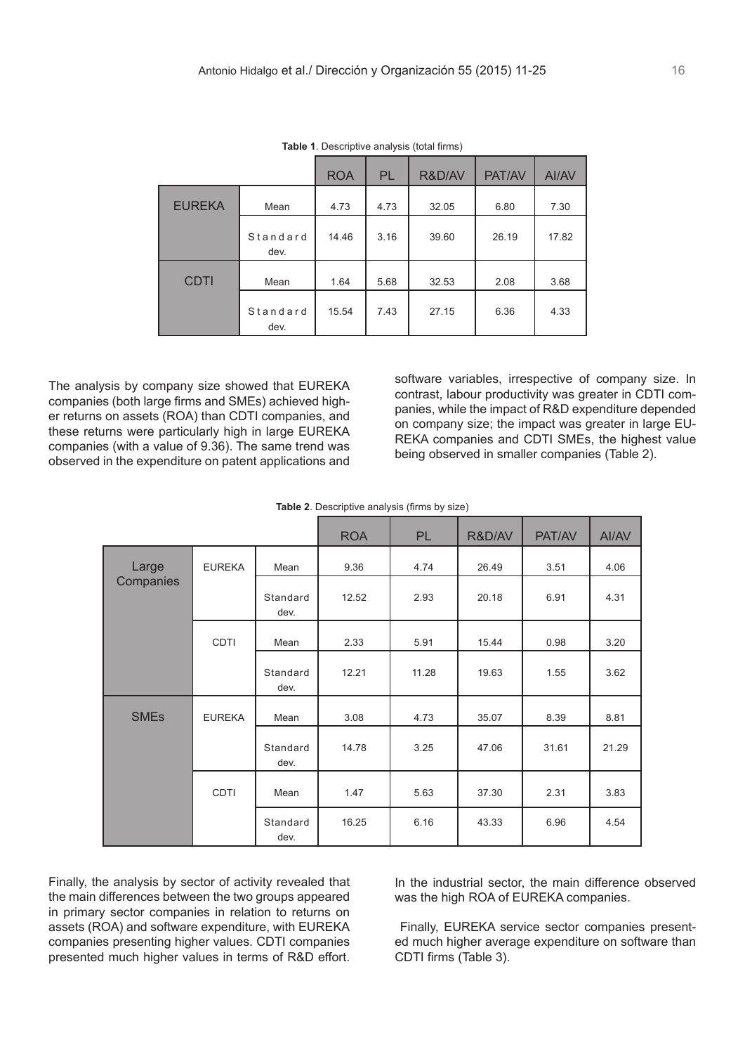|               |                  | <b>ROA</b> | <b>PL</b> | R&D/AV | PAT/AV | AI/AV |
|---------------|------------------|------------|-----------|--------|--------|-------|
| <b>EUREKA</b> | Mean             | 4.73       | 4.73      | 32.05  | 6.80   | 7.30  |
|               | Standard<br>dev. | 14.46      | 3.16      | 39.60  | 26.19  | 17.82 |
| <b>CDTI</b>   | Mean             | 1.64       | 5.68      | 32.53  | 2.08   | 3.68  |
|               | Standard<br>dev. | 15.54      | 7.43      | 27.15  | 6.36   | 4.33  |

**Table 1**. Descriptive analysis (total firms)

The analysis by company size showed that EUREKA companies (both large firms and SMEs) achieved higher returns on assets (ROA) than CDTI companies, and these returns were particularly high in large EUREKA companies (with a value of 9.36). The same trend was observed in the expenditure on patent applications and

software variables, irrespective of company size. In contrast, labour productivity was greater in CDTI companies, while the impact of R&D expenditure depended on company size; the impact was greater in large EU-REKA companies and CDTI SMEs, the highest value being observed in smaller companies (Table 2).

|  | <b>Table 2.</b> Descriptive analysis (firms by size) |  |  |  |
|--|------------------------------------------------------|--|--|--|
|--|------------------------------------------------------|--|--|--|

|                        |               |                  | <b>ROA</b> | <b>PL</b> | R&D/AV | PAT/AV | AI/AV |
|------------------------|---------------|------------------|------------|-----------|--------|--------|-------|
| Large                  | <b>EUREKA</b> | Mean             | 9.36       | 4.74      | 26.49  | 3.51   | 4.06  |
| Companies              |               | Standard<br>dev. | 12.52      | 2.93      | 20.18  | 6.91   | 4.31  |
|                        | <b>CDTI</b>   | Mean             | 2.33       | 5.91      | 15.44  | 0.98   | 3.20  |
|                        |               | Standard<br>dev. | 12.21      | 11.28     | 19.63  | 1.55   | 3.62  |
| <b>SME<sub>s</sub></b> | <b>EUREKA</b> | Mean             | 3.08       | 4.73      | 35.07  | 8.39   | 8.81  |
|                        |               | Standard<br>dev. | 14.78      | 3.25      | 47.06  | 31.61  | 21.29 |
|                        | <b>CDTI</b>   | Mean             | 1.47       | 5.63      | 37.30  | 2.31   | 3.83  |
|                        |               | Standard<br>dev. | 16.25      | 6.16      | 43.33  | 6.96   | 4.54  |

Finally, the analysis by sector of activity revealed that the main differences between the two groups appeared in primary sector companies in relation to returns on assets (ROA) and software expenditure, with EUREKA companies presenting higher values. CDTI companies presented much higher values in terms of R&D effort.

In the industrial sector, the main difference observed was the high ROA of EUREKA companies.

 Finally, EUREKA service sector companies presented much higher average expenditure on software than CDTI firms (Table 3).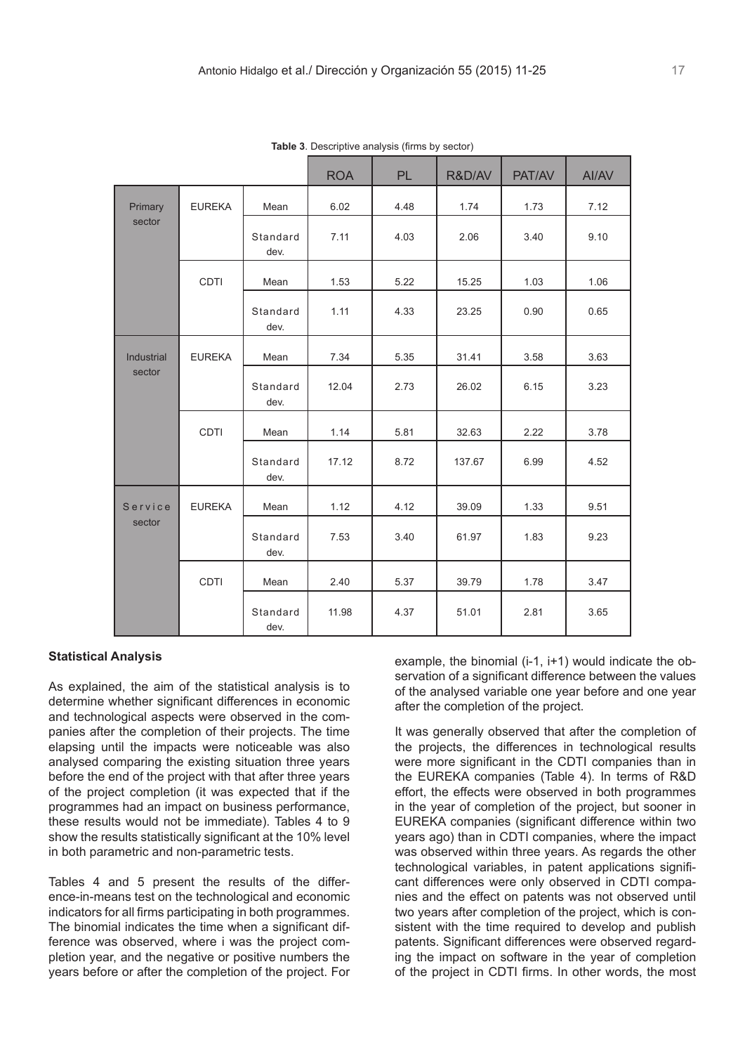|            |               |                  | <b>ROA</b> | <b>PL</b> | R&D/AV | PAT/AV | AI/AV |
|------------|---------------|------------------|------------|-----------|--------|--------|-------|
| Primary    | <b>EUREKA</b> | Mean             | 6.02       | 4.48      | 1.74   | 1.73   | 7.12  |
| sector     |               | Standard<br>dev. | 7.11       | 4.03      | 2.06   | 3.40   | 9.10  |
|            | CDTI          | Mean             | 1.53       | 5.22      | 15.25  | 1.03   | 1.06  |
|            |               | Standard<br>dev. | 1.11       | 4.33      | 23.25  | 0.90   | 0.65  |
| Industrial | <b>EUREKA</b> | Mean             | 7.34       | 5.35      | 31.41  | 3.58   | 3.63  |
| sector     |               | Standard<br>dev. | 12.04      | 2.73      | 26.02  | 6.15   | 3.23  |
|            | CDTI          | Mean             | 1.14       | 5.81      | 32.63  | 2.22   | 3.78  |
|            |               | Standard<br>dev. | 17.12      | 8.72      | 137.67 | 6.99   | 4.52  |
| Service    | <b>EUREKA</b> | Mean             | 1.12       | 4.12      | 39.09  | 1.33   | 9.51  |
| sector     |               | Standard<br>dev. | 7.53       | 3.40      | 61.97  | 1.83   | 9.23  |
|            | CDTI          | Mean             | 2.40       | 5.37      | 39.79  | 1.78   | 3.47  |
|            |               | Standard<br>dev. | 11.98      | 4.37      | 51.01  | 2.81   | 3.65  |

**Table 3**. Descriptive analysis (firms by sector)

### **Statistical Analysis**

As explained, the aim of the statistical analysis is to determine whether significant differences in economic and technological aspects were observed in the companies after the completion of their projects. The time elapsing until the impacts were noticeable was also analysed comparing the existing situation three years before the end of the project with that after three years of the project completion (it was expected that if the programmes had an impact on business performance, these results would not be immediate). Tables 4 to 9 show the results statistically significant at the 10% level in both parametric and non-parametric tests.

Tables 4 and 5 present the results of the difference-in-means test on the technological and economic indicators for all firms participating in both programmes. The binomial indicates the time when a significant difference was observed, where i was the project completion year, and the negative or positive numbers the years before or after the completion of the project. For

example, the binomial (i-1, i+1) would indicate the observation of a significant difference between the values of the analysed variable one year before and one year after the completion of the project.

It was generally observed that after the completion of the projects, the differences in technological results were more significant in the CDTI companies than in the EUREKA companies (Table 4). In terms of R&D effort, the effects were observed in both programmes in the year of completion of the project, but sooner in EUREKA companies (significant difference within two years ago) than in CDTI companies, where the impact was observed within three years. As regards the other technological variables, in patent applications significant differences were only observed in CDTI companies and the effect on patents was not observed until two years after completion of the project, which is consistent with the time required to develop and publish patents. Significant differences were observed regarding the impact on software in the year of completion of the project in CDTI firms. In other words, the most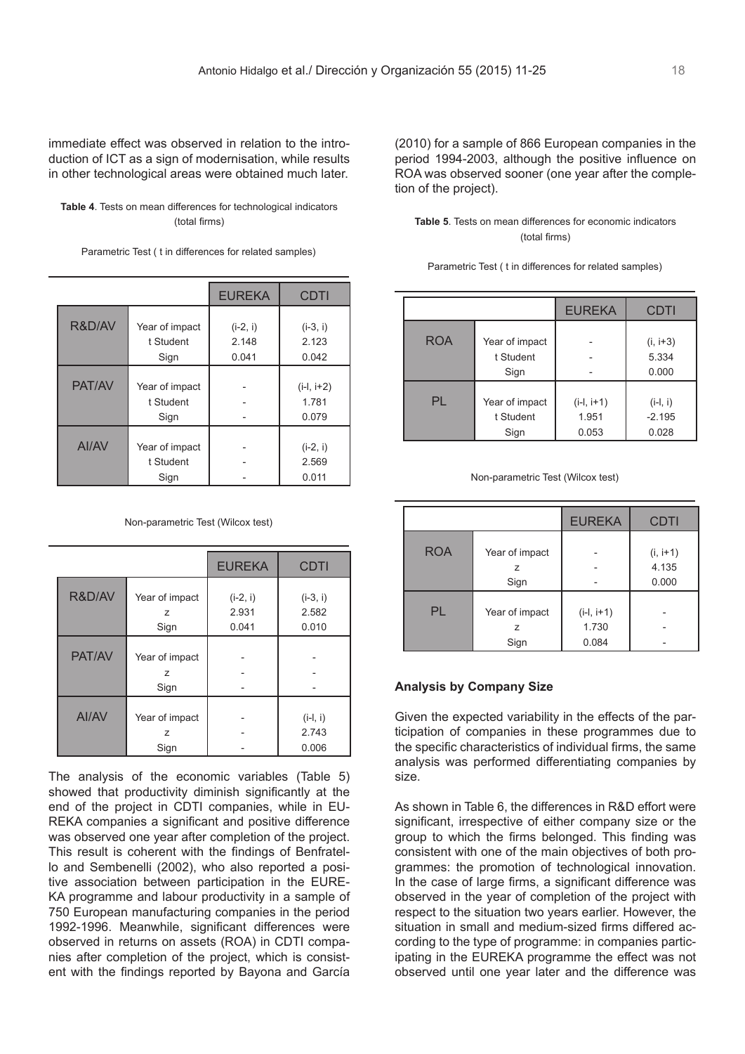immediate effect was observed in relation to the introduction of ICT as a sign of modernisation, while results in other technological areas were obtained much later.

**Table 4**. Tests on mean differences for technological indicators (total firms)

Parametric Test ( t in differences for related samples)

|        |                                     | <b>EUREKA</b>                | <b>CDTI</b>                    |
|--------|-------------------------------------|------------------------------|--------------------------------|
| R&D/AV | Year of impact<br>t Student<br>Sign | $(i-2, i)$<br>2.148<br>0.041 | $(i-3, i)$<br>2.123<br>0.042   |
| PAT/AV | Year of impact<br>t Student<br>Sign |                              | $(i-l, i+2)$<br>1.781<br>0.079 |
| AI/AV  | Year of impact<br>t Student<br>Sign |                              | $(i-2, i)$<br>2.569<br>0.011   |

Non-parametric Test (Wilcox test)

|        |                             | <b>EUREKA</b>                | <b>CDTI</b>                  |
|--------|-----------------------------|------------------------------|------------------------------|
| R&D/AV | Year of impact<br>Z<br>Sign | $(i-2, i)$<br>2.931<br>0.041 | $(i-3, i)$<br>2.582<br>0.010 |
| PAT/AV | Year of impact<br>Z<br>Sign |                              |                              |
| AI/AV  | Year of impact<br>Z<br>Sign |                              | $(i-l, i)$<br>2.743<br>0.006 |

The analysis of the economic variables (Table 5) showed that productivity diminish significantly at the end of the project in CDTI companies, while in EU-REKA companies a significant and positive difference was observed one year after completion of the project. This result is coherent with the findings of Benfratello and Sembenelli (2002), who also reported a positive association between participation in the EURE-KA programme and labour productivity in a sample of 750 European manufacturing companies in the period 1992-1996. Meanwhile, significant differences were observed in returns on assets (ROA) in CDTI companies after completion of the project, which is consistent with the findings reported by Bayona and García

(2010) for a sample of 866 European companies in the period 1994-2003, although the positive influence on ROA was observed sooner (one year after the completion of the project).

#### **Table 5**. Tests on mean differences for economic indicators (total firms)

|            |                                     | <b>EUREKA</b>                  | <b>CDTI</b>                     |
|------------|-------------------------------------|--------------------------------|---------------------------------|
| <b>ROA</b> | Year of impact<br>t Student<br>Sign |                                | $(i, i+3)$<br>5.334<br>0.000    |
| PL         | Year of impact<br>t Student<br>Sign | $(i-l, i+1)$<br>1.951<br>0.053 | $(i-l, i)$<br>$-2.195$<br>0.028 |

Parametric Test ( t in differences for related samples)

#### Non-parametric Test (Wilcox test)

|            |                             | <b>EUREKA</b>                  | <b>CDTI</b>                  |
|------------|-----------------------------|--------------------------------|------------------------------|
| <b>ROA</b> | Year of impact<br>z<br>Sign |                                | $(i, i+1)$<br>4.135<br>0.000 |
| PL         | Year of impact<br>Z<br>Sign | $(i-l, i+1)$<br>1.730<br>0.084 |                              |

### **Analysis by Company Size**

Given the expected variability in the effects of the participation of companies in these programmes due to the specific characteristics of individual firms, the same analysis was performed differentiating companies by size.

As shown in Table 6, the differences in R&D effort were significant, irrespective of either company size or the group to which the firms belonged. This finding was consistent with one of the main objectives of both programmes: the promotion of technological innovation. In the case of large firms, a significant difference was observed in the year of completion of the project with respect to the situation two years earlier. However, the situation in small and medium-sized firms differed according to the type of programme: in companies participating in the EUREKA programme the effect was not observed until one year later and the difference was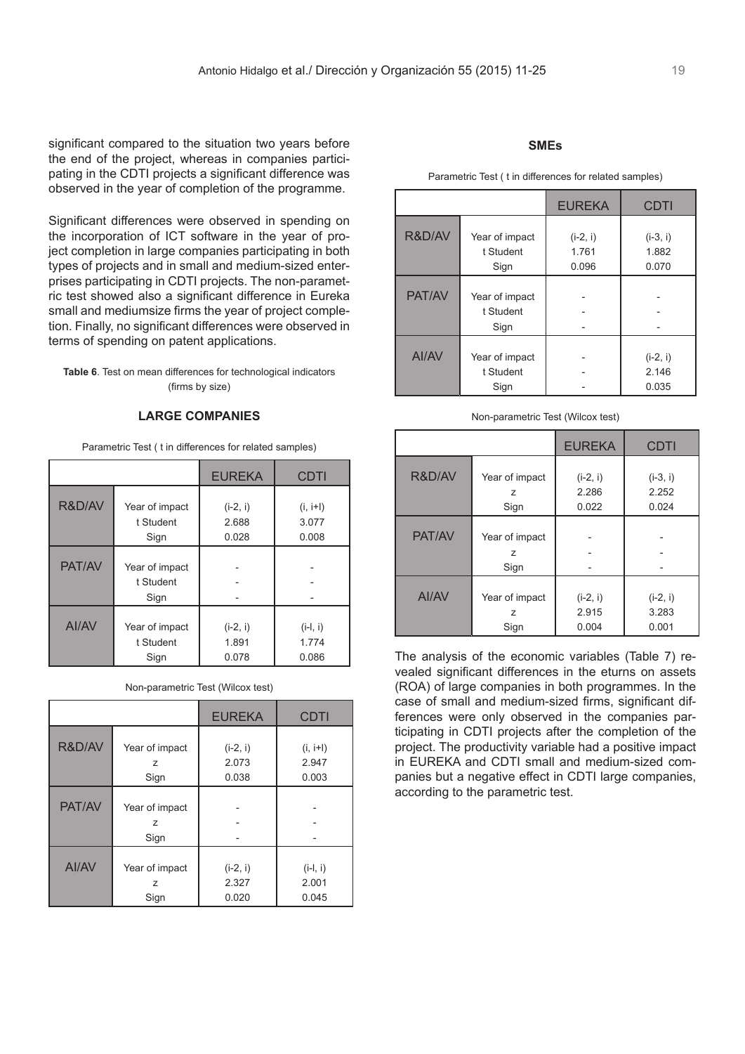significant compared to the situation two years before the end of the project, whereas in companies participating in the CDTI projects a significant difference was observed in the year of completion of the programme.

Significant differences were observed in spending on the incorporation of ICT software in the year of project completion in large companies participating in both types of projects and in small and medium-sized enterprises participating in CDTI projects. The non-parametric test showed also a significant difference in Eureka small and mediumsize firms the year of project completion. Finally, no significant differences were observed in terms of spending on patent applications.

**Table 6**. Test on mean differences for technological indicators (firms by size)

#### **LARGE COMPANIES**

Parametric Test ( t in differences for related samples)

|              |                                     | <b>EUREKA</b> | <b>CDTI</b> |
|--------------|-------------------------------------|---------------|-------------|
| R&D/AV       | Year of impact                      | $(i-2, i)$    | $(i, i+1)$  |
|              | t Student                           | 2.688         | 3.077       |
|              | Sign                                | 0.028         | 0.008       |
| PAT/AV       | Year of impact<br>t Student<br>Sign |               |             |
| <b>AI/AV</b> | Year of impact                      | $(i-2, i)$    | $(i-l, i)$  |
|              | t Student                           | 1.891         | 1.774       |
|              | Sign                                | 0.078         | 0.086       |

|              |                | <b>EUREKA</b> | <b>CDTI</b> |
|--------------|----------------|---------------|-------------|
|              |                |               |             |
| R&D/AV       | Year of impact | $(i-2, i)$    | $(i, i+1)$  |
|              | Z              | 2.073         | 2.947       |
|              | Sign           | 0.038         | 0.003       |
|              |                |               |             |
| PAT/AV       | Year of impact |               |             |
|              | z              |               |             |
|              | Sign           |               |             |
|              |                |               |             |
| <b>AI/AV</b> | Year of impact | $(i-2, i)$    | $(i-l, i)$  |
|              | Z              | 2.327         | 2.001       |
|              | Sign           | 0.020         | 0.045       |

## **SMEs**

Parametric Test ( t in differences for related samples)

|        |                                     | <b>EUREKA</b>                | <b>CDTI</b>                  |
|--------|-------------------------------------|------------------------------|------------------------------|
| R&D/AV | Year of impact<br>t Student<br>Sign | $(i-2, i)$<br>1.761<br>0.096 | $(i-3, i)$<br>1.882<br>0.070 |
| PAT/AV | Year of impact<br>t Student<br>Sign |                              |                              |
| AI/AV  | Year of impact<br>t Student<br>Sign |                              | $(i-2, i)$<br>2.146<br>0.035 |

#### Non-parametric Test (Wilcox test)

|        |                | <b>EUREKA</b> | CDTI       |
|--------|----------------|---------------|------------|
| R&D/AV |                |               |            |
|        | Year of impact | $(i-2, i)$    | $(i-3, i)$ |
|        | z              | 2.286         | 2.252      |
|        | Sign           | 0.022         | 0.024      |
|        |                |               |            |
| PAT/AV | Year of impact |               |            |
|        | z              |               |            |
|        | Sign           |               |            |
|        |                |               |            |
| AI/AV  | Year of impact | $(i-2, i)$    | $(i-2, i)$ |
|        | 7              | 2.915         | 3.283      |
|        | Sign           | 0.004         | 0.001      |

The analysis of the economic variables (Table 7) revealed significant differences in the eturns on assets (ROA) of large companies in both programmes. In the case of small and medium-sized firms, significant differences were only observed in the companies participating in CDTI projects after the completion of the project. The productivity variable had a positive impact in EUREKA and CDTI small and medium-sized companies but a negative effect in CDTI large companies, according to the parametric test.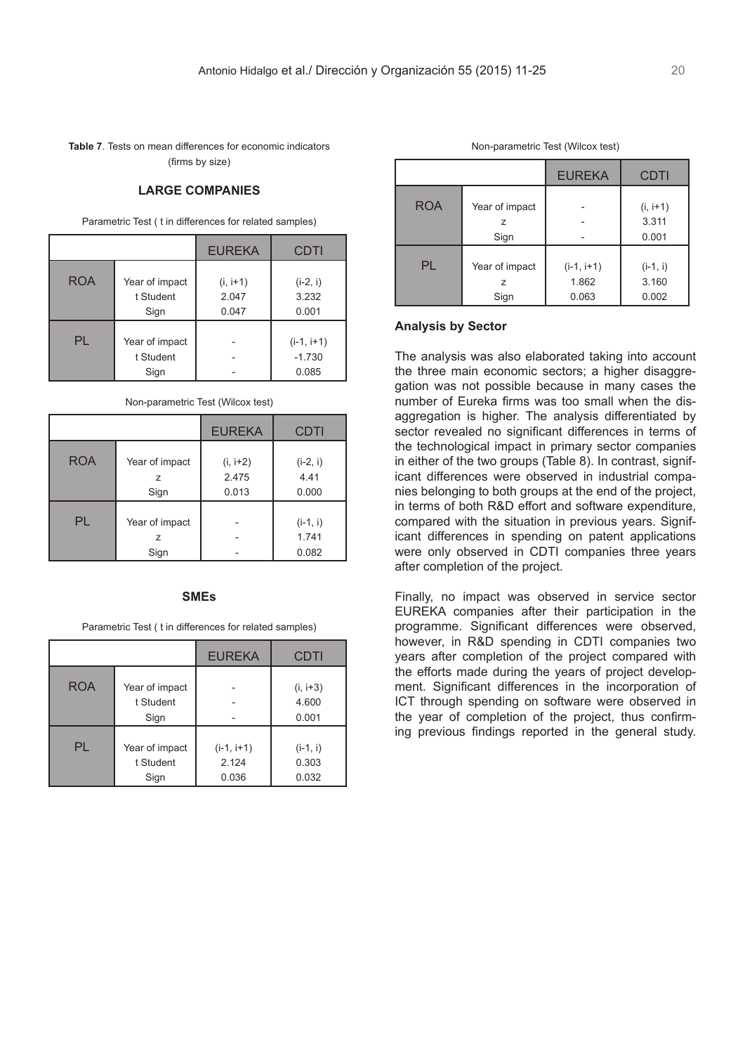**Table 7**. Tests on mean differences for economic indicators (firms by size)

#### **LARGE COMPANIES**

Parametric Test ( t in differences for related samples)

|            |                                     | <b>EUREKA</b>                | <b>CDTI</b>                       |
|------------|-------------------------------------|------------------------------|-----------------------------------|
| <b>ROA</b> | Year of impact<br>t Student<br>Sign | $(i, i+1)$<br>2.047<br>0.047 | $(i-2, i)$<br>3.232<br>0.001      |
| PL         | Year of impact<br>t Student<br>Sign |                              | $(i-1, i+1)$<br>$-1.730$<br>0.085 |

|            |                                          | <b>EUREKA</b>                | <b>CDTI</b>                  |
|------------|------------------------------------------|------------------------------|------------------------------|
| <b>ROA</b> | Year of impact<br>z<br>Sign              | $(i, i+2)$<br>2.475<br>0.013 | $(i-2, i)$<br>4.41<br>0.000  |
| PL         | Year of impact<br>$\overline{z}$<br>Sign |                              | $(i-1, i)$<br>1.741<br>0.082 |

### **SMEs**

Parametric Test ( t in differences for related samples)

|            |                                     | <b>EUREKA</b>                  | <b>CDTI</b>                  |
|------------|-------------------------------------|--------------------------------|------------------------------|
| <b>ROA</b> | Year of impact<br>t Student<br>Sign |                                | $(i, i+3)$<br>4.600<br>0.001 |
| PL         | Year of impact<br>t Student<br>Sign | $(i-1, i+1)$<br>2.124<br>0.036 | $(i-1, i)$<br>0.303<br>0.032 |

| Non-parametric Test (Wilcox test) |  |  |  |
|-----------------------------------|--|--|--|
|-----------------------------------|--|--|--|

|            |                     | <b>EUREKA</b>         | <b>CDTI</b>         |
|------------|---------------------|-----------------------|---------------------|
| <b>ROA</b> | Year of impact<br>z |                       | $(i, i+1)$<br>3.311 |
|            | Sign                |                       | 0.001               |
| PL         | Year of impact<br>7 | $(i-1, i+1)$<br>1.862 | $(i-1, i)$<br>3.160 |
|            | Sign                | 0.063                 | 0.002               |

### **Analysis by Sector**

The analysis was also elaborated taking into account the three main economic sectors; a higher disaggregation was not possible because in many cases the number of Eureka firms was too small when the disaggregation is higher. The analysis differentiated by sector revealed no significant differences in terms of the technological impact in primary sector companies in either of the two groups (Table 8). In contrast, significant differences were observed in industrial companies belonging to both groups at the end of the project, in terms of both R&D effort and software expenditure, compared with the situation in previous years. Significant differences in spending on patent applications were only observed in CDTI companies three years after completion of the project.

Finally, no impact was observed in service sector EUREKA companies after their participation in the programme. Significant differences were observed, however, in R&D spending in CDTI companies two years after completion of the project compared with the efforts made during the years of project development. Significant differences in the incorporation of ICT through spending on software were observed in the year of completion of the project, thus confirming previous findings reported in the general study.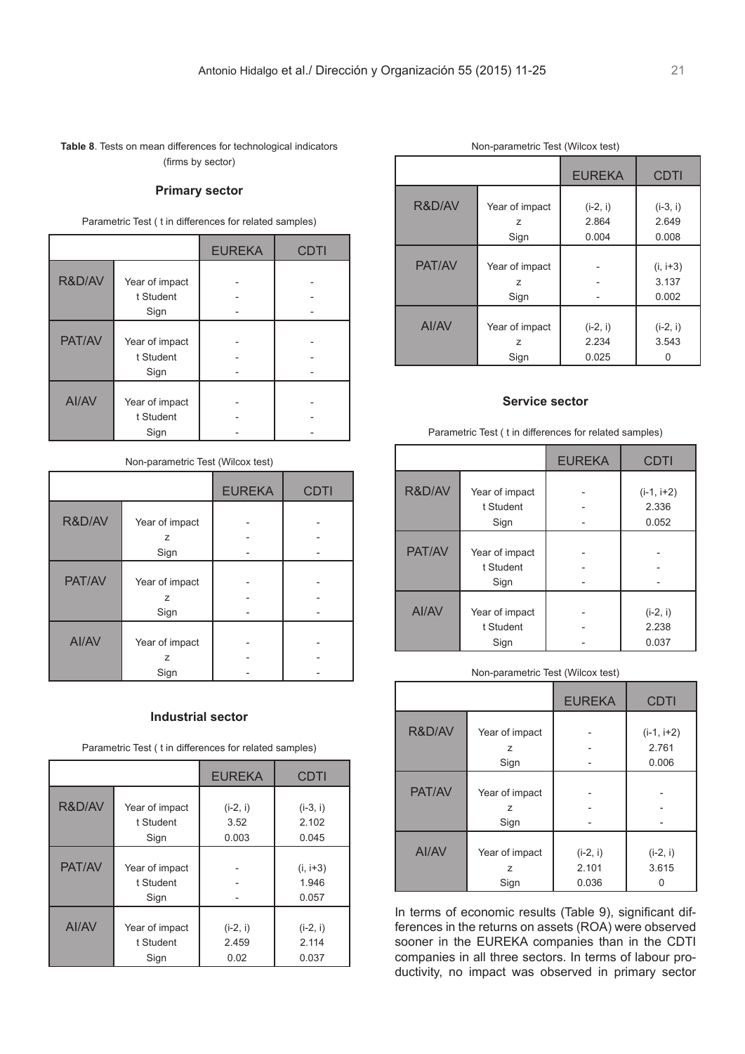**Table 8**. Tests on mean differences for technological indicators (firms by sector)

#### **Primary sector**

Parametric Test ( t in differences for related samples)

|        |                                     | <b>EUREKA</b> | <b>CDTI</b> |
|--------|-------------------------------------|---------------|-------------|
| R&D/AV | Year of impact<br>t Student<br>Sign |               |             |
| PAT/AV | Year of impact<br>t Student<br>Sign |               |             |
| Al/AV  | Year of impact<br>t Student<br>Sign |               |             |

#### Non-parametric Test (Wilcox test)

|        |                | <b>EUREKA</b> | <b>CDTI</b> |
|--------|----------------|---------------|-------------|
|        |                |               |             |
| R&D/AV | Year of impact |               |             |
|        | Z              |               |             |
|        | Sign           |               |             |
|        |                |               |             |
| PAT/AV | Year of impact |               |             |
|        | Z              |               |             |
|        | Sign           |               |             |
|        |                |               |             |
| AI/AV  | Year of impact |               |             |
|        | z              |               |             |
|        | Sign           |               |             |

#### **Industrial sector**

Parametric Test ( t in differences for related samples)

|        |                                     | <b>EUREKA</b> | CDTI                         |
|--------|-------------------------------------|---------------|------------------------------|
| R&D/AV | Year of impact                      | $(i-2, i)$    | $(i-3, i)$                   |
|        | t Student                           | 3.52          | 2.102                        |
|        | Sign                                | 0.003         | 0.045                        |
| PAT/AV | Year of impact<br>t Student<br>Sign |               | $(i, i+3)$<br>1.946<br>0.057 |
| AI/AV  | Year of impact                      | $(i-2, i)$    | $(i-2, i)$                   |
|        | t Student                           | 2.459         | 2.114                        |
|        | Sign                                | 0.02          | 0.037                        |

|        |                                          | <b>EUREKA</b>                | <b>CDTI</b>                  |  |
|--------|------------------------------------------|------------------------------|------------------------------|--|
| R&D/AV | Year of impact<br>Z<br>Sign              | $(i-2, i)$<br>2.864<br>0.004 | $(i-3, i)$<br>2.649<br>0.008 |  |
| PAT/AV | Year of impact<br>$\overline{z}$<br>Sign |                              | $(i, i+3)$<br>3.137<br>0.002 |  |
| AI/AV  | Year of impact<br>Z<br>Sign              | $(i-2, i)$<br>2.234<br>0.025 | $(i-2, i)$<br>3.543          |  |

#### **Service sector**

Parametric Test ( t in differences for related samples)

|        |                | <b>EUREKA</b> | <b>CDTI</b>  |
|--------|----------------|---------------|--------------|
| R&D/AV | Year of impact |               | $(i-1, i+2)$ |
|        | t Student      |               | 2.336        |
|        | Sign           |               | 0.052        |
|        |                |               |              |
| PAT/AV | Year of impact |               |              |
|        | t Student      |               |              |
|        | Sign           |               |              |
|        |                |               |              |
| AI/AV  | Year of impact |               | $(i-2, i)$   |
|        | t Student      |               | 2.238        |
|        | Sign           |               | 0.037        |

#### Non-parametric Test (Wilcox test)

|        |                | <b>EUREKA</b> | <b>CDTI</b>  |
|--------|----------------|---------------|--------------|
| R&D/AV |                |               |              |
|        | Year of impact |               | $(i-1, i+2)$ |
|        | $\overline{z}$ |               | 2.761        |
|        | Sign           |               | 0.006        |
|        |                |               |              |
| PAT/AV | Year of impact |               |              |
|        | Z              |               |              |
|        | Sign           |               |              |
|        |                |               |              |
| AI/AV  | Year of impact | $(i-2, i)$    | $(i-2, i)$   |
|        | $\overline{z}$ | 2.101         | 3.615        |
|        | Sign           | 0.036         |              |

In terms of economic results (Table 9), significant differences in the returns on assets (ROA) were observed sooner in the EUREKA companies than in the CDTI companies in all three sectors. In terms of labour productivity, no impact was observed in primary sector

#### Non-parametric Test (Wilcox test)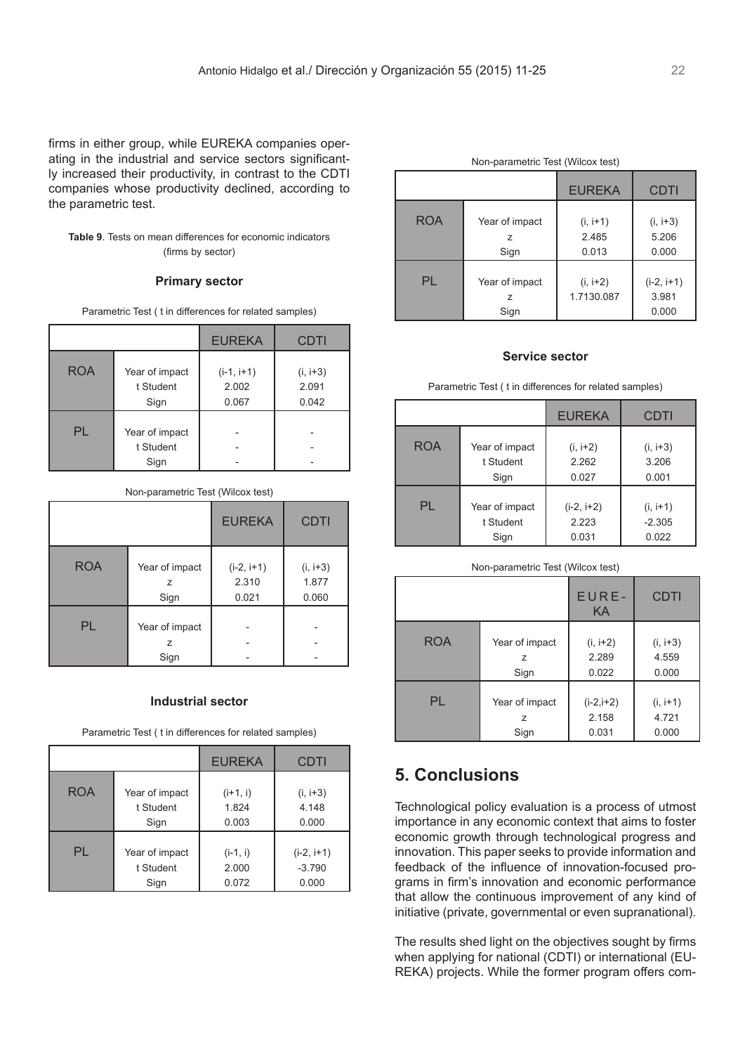firms in either group, while EUREKA companies operating in the industrial and service sectors significantly increased their productivity, in contrast to the CDTI companies whose productivity declined, according to the parametric test.

### **Table 9**. Tests on mean differences for economic indicators (firms by sector)

#### **Primary sector**

Parametric Test ( t in differences for related samples)

|            |                                     | <b>EUREKA</b>                  | <b>CDTI</b>                  |
|------------|-------------------------------------|--------------------------------|------------------------------|
| <b>ROA</b> | Year of impact<br>t Student<br>Sign | $(i-1, i+1)$<br>2.002<br>0.067 | $(i, i+3)$<br>2.091<br>0.042 |
| PL         | Year of impact<br>t Student<br>Sign |                                |                              |

#### Non-parametric Test (Wilcox test)

|            |                             | <b>EUREKA</b>                  | <b>CDTI</b>                  |
|------------|-----------------------------|--------------------------------|------------------------------|
| <b>ROA</b> | Year of impact<br>z<br>Sign | $(i-2, i+1)$<br>2.310<br>0.021 | $(i, i+3)$<br>1.877<br>0.060 |
| PL         | Year of impact<br>z<br>Sign |                                |                              |

### **Industrial sector**

Parametric Test ( t in differences for related samples)

|            |                | <b>EUREKA</b> | CDTI         |
|------------|----------------|---------------|--------------|
| <b>ROA</b> | Year of impact | $(i+1, i)$    | $(i, i+3)$   |
|            | t Student      | 1.824         | 4.148        |
|            | Sign           | 0.003         | 0.000        |
| PL         | Year of impact | $(i-1, i)$    | $(i-2, i+1)$ |
|            | t Student      | 2.000         | $-3.790$     |
|            | Sign           | 0.072         | 0.000        |

| Non-parametric Test (Wilcox test) |                                         |                              |                                |
|-----------------------------------|-----------------------------------------|------------------------------|--------------------------------|
|                                   |                                         | <b>EUREKA</b>                | <b>CDTI</b>                    |
| <b>ROA</b>                        | Year of impact<br>$\mathcal{L}$<br>Sign | $(i, i+1)$<br>2.485<br>0.013 | $(i, i+3)$<br>5.206<br>0.000   |
| PL                                | Year of impact<br>Sign                  | $(i, i+2)$<br>1.7130.087     | $(i-2, i+1)$<br>3.981<br>0.000 |

### **Service sector**

Parametric Test ( t in differences for related samples)

|            |                | <b>EUREKA</b> | CDTI       |
|------------|----------------|---------------|------------|
| <b>ROA</b> | Year of impact | $(i, i+2)$    | $(i, i+3)$ |
|            | t Student      | 2.262         | 3.206      |
|            | Sign           | 0.027         | 0.001      |
| PL         | Year of impact | $(i-2, i+2)$  | $(i, i+1)$ |
|            | t Student      | 2.223         | $-2.305$   |
|            | Sign           | 0.031         | 0.022      |

#### Non-parametric Test (Wilcox test)

|            |                | EURE-<br>KA | <b>CDTI</b> |
|------------|----------------|-------------|-------------|
| <b>ROA</b> | Year of impact | $(i, i+2)$  | $(i, i+3)$  |
|            | z              | 2.289       | 4.559       |
|            | Sign           | 0.022       | 0.000       |
| PL         | Year of impact | $(i-2,i+2)$ | $(i, i+1)$  |
|            | z              | 2.158       | 4.721       |
|            | Sign           | 0.031       | 0.000       |

# **5. Conclusions**

Technological policy evaluation is a process of utmost importance in any economic context that aims to foster economic growth through technological progress and innovation. This paper seeks to provide information and feedback of the influence of innovation-focused programs in firm's innovation and economic performance that allow the continuous improvement of any kind of initiative (private, governmental or even supranational).

The results shed light on the objectives sought by firms when applying for national (CDTI) or international (EU-REKA) projects. While the former program offers com-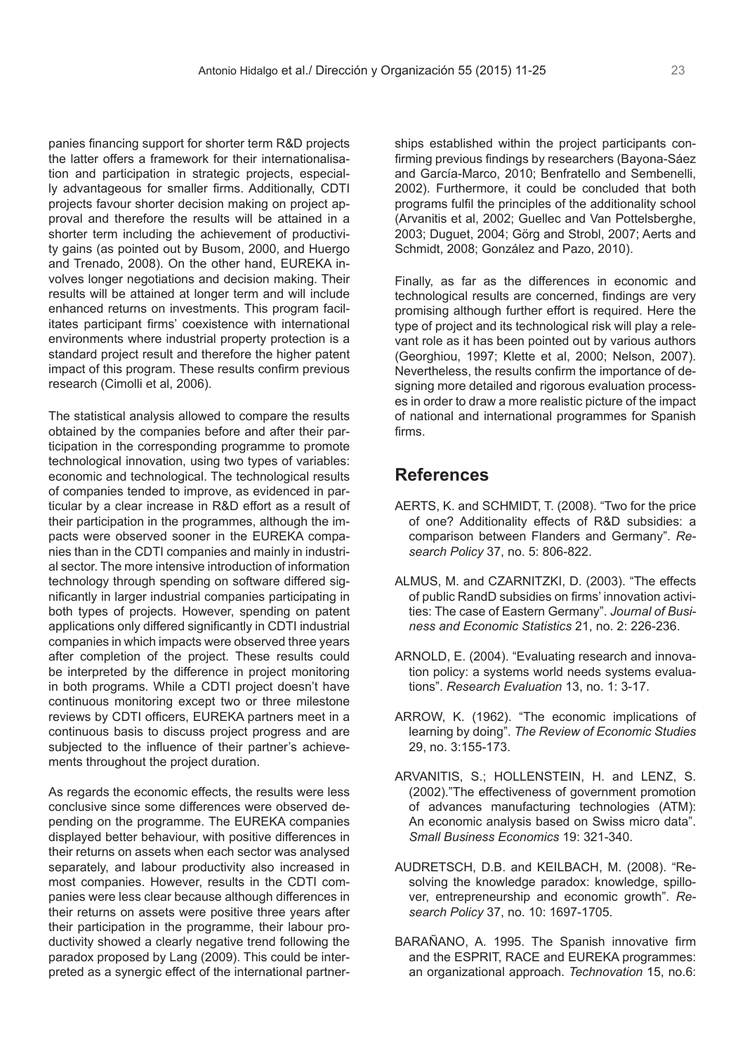panies financing support for shorter term R&D projects the latter offers a framework for their internationalisation and participation in strategic projects, especially advantageous for smaller firms. Additionally, CDTI projects favour shorter decision making on project approval and therefore the results will be attained in a shorter term including the achievement of productivity gains (as pointed out by Busom, 2000, and Huergo and Trenado, 2008). On the other hand, EUREKA involves longer negotiations and decision making. Their results will be attained at longer term and will include enhanced returns on investments. This program facilitates participant firms' coexistence with international environments where industrial property protection is a standard project result and therefore the higher patent impact of this program. These results confirm previous research (Cimolli et al, 2006).

The statistical analysis allowed to compare the results obtained by the companies before and after their participation in the corresponding programme to promote technological innovation, using two types of variables: economic and technological. The technological results of companies tended to improve, as evidenced in particular by a clear increase in R&D effort as a result of their participation in the programmes, although the impacts were observed sooner in the EUREKA companies than in the CDTI companies and mainly in industrial sector. The more intensive introduction of information technology through spending on software differed significantly in larger industrial companies participating in both types of projects. However, spending on patent applications only differed significantly in CDTI industrial companies in which impacts were observed three years after completion of the project. These results could be interpreted by the difference in project monitoring in both programs. While a CDTI project doesn't have continuous monitoring except two or three milestone reviews by CDTI officers, EUREKA partners meet in a continuous basis to discuss project progress and are subjected to the influence of their partner's achievements throughout the project duration.

As regards the economic effects, the results were less conclusive since some differences were observed depending on the programme. The EUREKA companies displayed better behaviour, with positive differences in their returns on assets when each sector was analysed separately, and labour productivity also increased in most companies. However, results in the CDTI companies were less clear because although differences in their returns on assets were positive three years after their participation in the programme, their labour productivity showed a clearly negative trend following the paradox proposed by Lang (2009). This could be interpreted as a synergic effect of the international partnerships established within the project participants confirming previous findings by researchers (Bayona-Sáez and García-Marco, 2010; Benfratello and Sembenelli, 2002). Furthermore, it could be concluded that both programs fulfil the principles of the additionality school (Arvanitis et al, 2002; Guellec and Van Pottelsberghe, 2003; Duguet, 2004; Görg and Strobl, 2007; Aerts and Schmidt, 2008; González and Pazo, 2010).

Finally, as far as the differences in economic and technological results are concerned, findings are very promising although further effort is required. Here the type of project and its technological risk will play a relevant role as it has been pointed out by various authors (Georghiou, 1997; Klette et al, 2000; Nelson, 2007). Nevertheless, the results confirm the importance of designing more detailed and rigorous evaluation processes in order to draw a more realistic picture of the impact of national and international programmes for Spanish firms.

# **References**

- AERTS, K. and SCHMIDT, T. (2008). "Two for the price of one? Additionality effects of R&D subsidies: a comparison between Flanders and Germany". *Research Policy* 37, no. 5: 806-822.
- ALMUS, M. and CZARNITZKI, D. (2003). "The effects of public RandD subsidies on firms' innovation activities: The case of Eastern Germany". *Journal of Business and Economic Statistics* 21, no. 2: 226-236.
- ARNOLD, E. (2004). "Evaluating research and innovation policy: a systems world needs systems evaluations". *Research Evaluation* 13, no. 1: 3-17.
- ARROW, K. (1962). "The economic implications of learning by doing". *The Review of Economic Studies*  29, no. 3:155-173.
- ARVANITIS, S.; HOLLENSTEIN, H. and LENZ, S. (2002)."The effectiveness of government promotion of advances manufacturing technologies (ATM): An economic analysis based on Swiss micro data". *Small Business Economics* 19: 321-340.
- AUDRETSCH, D.B. and KEILBACH, M. (2008). "Resolving the knowledge paradox: knowledge, spillover, entrepreneurship and economic growth". *Research Policy* 37, no. 10: 1697-1705.
- BARAÑANO, A. 1995. The Spanish innovative firm and the ESPRIT, RACE and EUREKA programmes: an organizational approach. *Technovation* 15, no.6: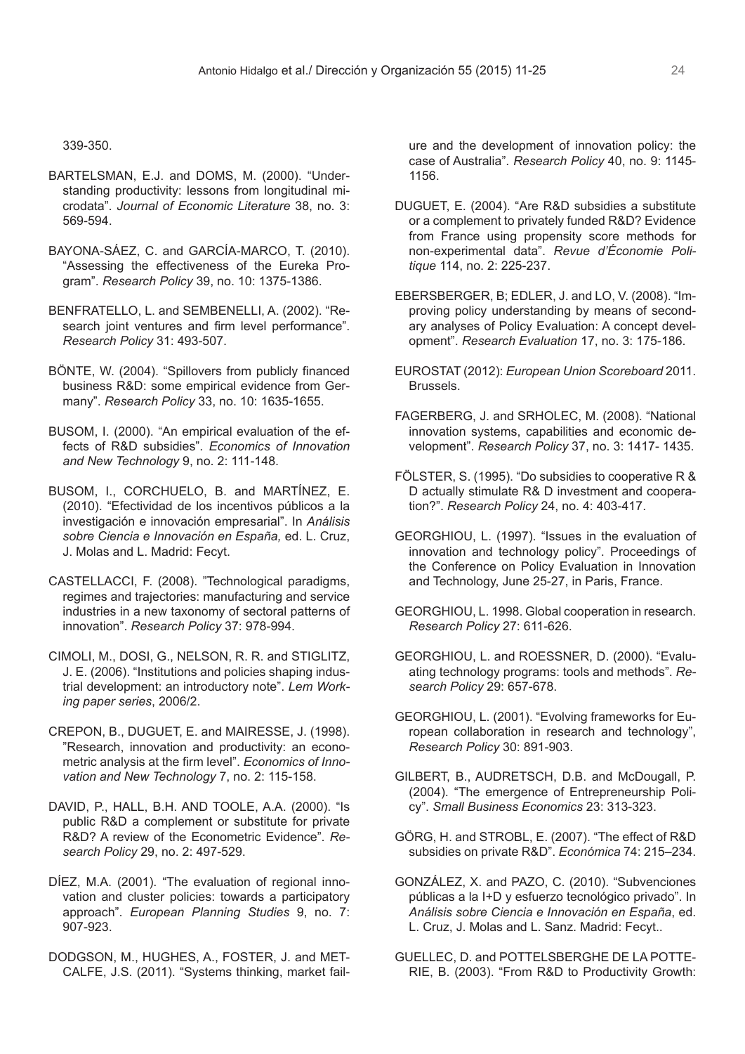339-350.

- BARTELSMAN, E.J. and DOMS, M. (2000). "Understanding productivity: lessons from longitudinal microdata". *Journal of Economic Literature* 38, no. 3: 569-594.
- BAYONA-SÁEZ, C. and GARCÍA-MARCO, T. (2010). "Assessing the effectiveness of the Eureka Program". *Research Policy* 39, no. 10: 1375-1386.
- BENFRATELLO, L. and SEMBENELLI, A. (2002). "Research joint ventures and firm level performance". *Research Policy* 31: 493-507.
- BÖNTE, W. (2004). "Spillovers from publicly financed business R&D: some empirical evidence from Germany". *Research Policy* 33, no. 10: 1635-1655.
- BUSOM, I. (2000). "An empirical evaluation of the effects of R&D subsidies". *Economics of Innovation and New Technology* 9, no. 2: 111-148.
- BUSOM, I., CORCHUELO, B. and MARTÍNEZ, E. (2010). "Efectividad de los incentivos públicos a la investigación e innovación empresarial". In *Análisis sobre Ciencia e Innovación en España,* ed. L. Cruz, J. Molas and L. Madrid: Fecyt.
- CASTELLACCI, F. (2008). "Technological paradigms, regimes and trajectories: manufacturing and service industries in a new taxonomy of sectoral patterns of innovation". *Research Policy* 37: 978-994.
- CIMOLI, M., DOSI, G., NELSON, R. R. and STIGLITZ, J. E. (2006). "Institutions and policies shaping industrial development: an introductory note". *Lem Working paper series*, 2006/2.
- CREPON, B., DUGUET, E. and MAIRESSE, J. (1998). "Research, innovation and productivity: an econometric analysis at the firm level". *Economics of Innovation and New Technology* 7, no. 2: 115-158.
- DAVID, P., HALL, B.H. AND TOOLE, A.A. (2000). "Is public R&D a complement or substitute for private R&D? A review of the Econometric Evidence". *Research Policy* 29, no. 2: 497-529.
- DÍEZ, M.A. (2001). "The evaluation of regional innovation and cluster policies: towards a participatory approach". *European Planning Studies* 9, no. 7: 907-923.
- DODGSON, M., HUGHES, A., FOSTER, J. and MET-CALFE, J.S. (2011). "Systems thinking, market fail-

ure and the development of innovation policy: the case of Australia". *Research Policy* 40, no. 9: 1145- 1156.

- DUGUET, E. (2004). "Are R&D subsidies a substitute or a complement to privately funded R&D? Evidence from France using propensity score methods for non-experimental data". *Revue d'Économie Politique* 114, no. 2: 225-237.
- EBERSBERGER, B; EDLER, J. and LO, V. (2008). "Improving policy understanding by means of secondary analyses of Policy Evaluation: A concept development". *Research Evaluation* 17, no. 3: 175-186.
- EUROSTAT (2012): *European Union Scoreboard* 2011. Brussels.
- FAGERBERG, J. and SRHOLEC, M. (2008). "National innovation systems, capabilities and economic development". *Research Policy* 37, no. 3: 1417- 1435.
- FÖLSTER, S. (1995). "Do subsidies to cooperative R & D actually stimulate R& D investment and cooperation?". *Research Policy* 24, no. 4: 403-417.
- GEORGHIOU, L. (1997). "Issues in the evaluation of innovation and technology policy". Proceedings of the Conference on Policy Evaluation in Innovation and Technology, June 25-27, in Paris, France.
- GEORGHIOU, L. 1998. Global cooperation in research. *Research Policy* 27: 611-626.
- GEORGHIOU, L. and ROESSNER, D. (2000). "Evaluating technology programs: tools and methods". *Research Policy* 29: 657-678.
- GEORGHIOU, L. (2001). "Evolving frameworks for European collaboration in research and technology", *Research Policy* 30: 891-903.
- GILBERT, B., AUDRETSCH, D.B. and McDougall, P. (2004). "The emergence of Entrepreneurship Policy". *Small Business Economics* 23: 313-323.
- GÖRG, H. and STROBL, E. (2007). "The effect of R&D subsidies on private R&D". *Económica* 74: 215–234.
- GONZÁLEZ, X. and PAZO, C. (2010). "Subvenciones públicas a la I+D y esfuerzo tecnológico privado". In *Análisis sobre Ciencia e Innovación en España*, ed. L. Cruz, J. Molas and L. Sanz. Madrid: Fecyt..
- GUELLEC, D. and POTTELSBERGHE DE LA POTTE-RIE, B. (2003). "From R&D to Productivity Growth: